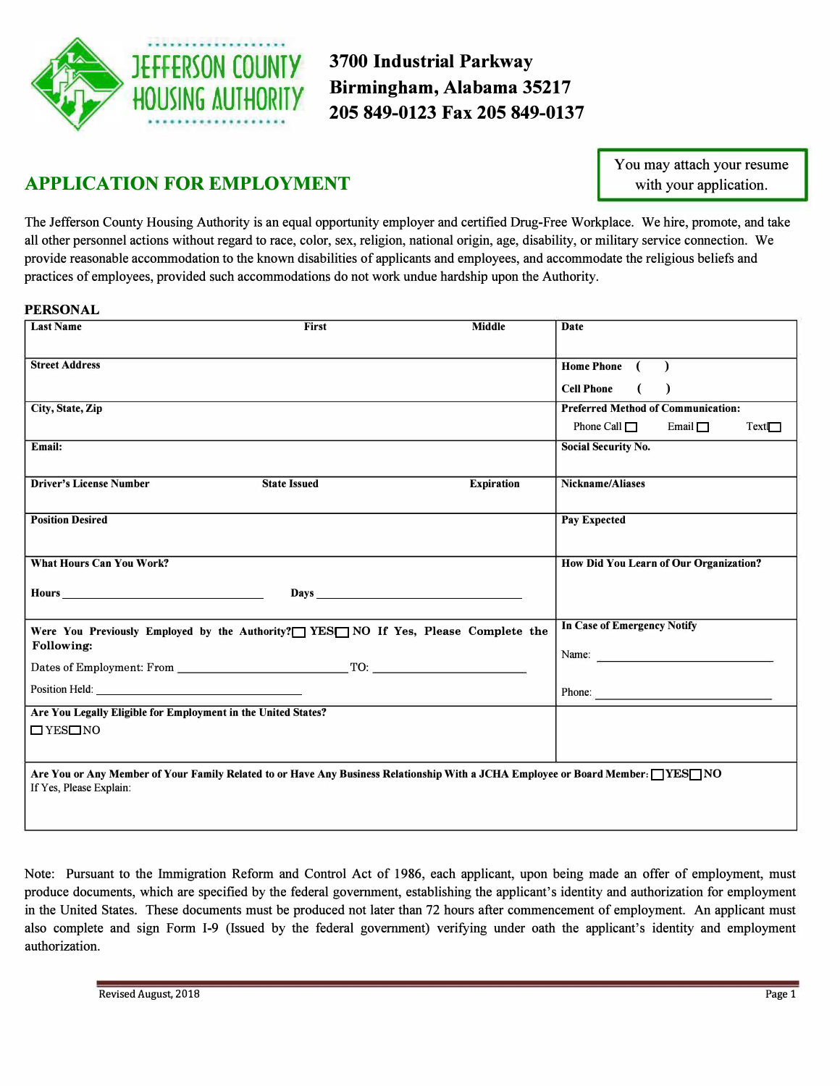

3700 Industrial Parkway **Birmingham, Alabama 35217 205 849-0123 Fax 205 849-0137**  3/00 Industrial

# **APPLICATION FOR EMPLOYMENT**  APPLICATION FOR EMPLOYMENT

You may attach your resume with your application.

The Jefferson County Housing Authority is an equal opportunity employer and certified Drug-Free Workplace. We hire, promote, and take all other personnel actions without regard to race, color, sex, religion, national origin, age, disability, or military service connection. We provide reasonable accommodation to the known disabilities of applicants and employees, and accommodate the religious beliefs and practices of employees, provided such accommodations do not work undue hardship upon the Authority.

## **PERSONAL**  PERSONAL

| <b>Last Name</b>                                              | First                                                                                                                                                                                                                          | <b>Middle</b>     | Date                                               |
|---------------------------------------------------------------|--------------------------------------------------------------------------------------------------------------------------------------------------------------------------------------------------------------------------------|-------------------|----------------------------------------------------|
|                                                               |                                                                                                                                                                                                                                |                   |                                                    |
| <b>Street Address</b>                                         |                                                                                                                                                                                                                                |                   | Home Phone (                                       |
|                                                               |                                                                                                                                                                                                                                |                   | <b>Cell Phone</b><br>$\lambda$                     |
| City, State, Zip                                              |                                                                                                                                                                                                                                |                   | <b>Preferred Method of Communication:</b>          |
|                                                               |                                                                                                                                                                                                                                |                   | Phone Call $\Box$<br>$Text$ $\Box$<br>Email $\Box$ |
| Email:                                                        |                                                                                                                                                                                                                                |                   | <b>Social Security No.</b>                         |
|                                                               |                                                                                                                                                                                                                                |                   |                                                    |
| <b>Driver's License Number</b>                                | <b>State Issued</b>                                                                                                                                                                                                            | <b>Expiration</b> | Nickname/Aliases                                   |
|                                                               |                                                                                                                                                                                                                                |                   |                                                    |
| <b>Position Desired</b>                                       |                                                                                                                                                                                                                                |                   | <b>Pay Expected</b>                                |
|                                                               |                                                                                                                                                                                                                                |                   |                                                    |
| <b>What Hours Can You Work?</b>                               |                                                                                                                                                                                                                                |                   | How Did You Learn of Our Organization?             |
|                                                               | Days have a series of the contract of the contract of the contract of the contract of the contract of the contract of the contract of the contract of the contract of the contract of the contract of the contract of the cont |                   |                                                    |
|                                                               |                                                                                                                                                                                                                                |                   |                                                    |
|                                                               | Were You Previously Employed by the Authority? TES NO If Yes, Please Complete the                                                                                                                                              |                   | In Case of Emergency Notify                        |
| <b>Following:</b>                                             |                                                                                                                                                                                                                                |                   | Name:                                              |
|                                                               |                                                                                                                                                                                                                                |                   |                                                    |
|                                                               |                                                                                                                                                                                                                                |                   | Phone:                                             |
| Are You Legally Eligible for Employment in the United States? |                                                                                                                                                                                                                                |                   |                                                    |
| $\Box$ YES $\Box$ NO                                          |                                                                                                                                                                                                                                |                   |                                                    |
|                                                               |                                                                                                                                                                                                                                |                   |                                                    |
|                                                               | Are You or Any Member of Your Family Related to or Have Any Business Relationship With a JCHA Employee or Board Member: VES NO                                                                                                 |                   |                                                    |
| If Yes, Please Explain:                                       |                                                                                                                                                                                                                                |                   |                                                    |
|                                                               |                                                                                                                                                                                                                                |                   |                                                    |

Note: Pursuant to the Immigration Reform and Control Act of 1986, each applicant, upon being made an offer of employment, must produce documents, which are specified by the federal government, establishing the applicant's identity and authorization for employment in the United States. These documents must be produced not later than 72 hours after commencement of employment. An applicant must also complete and sign Form 1-9 (Issued by the federal government) verifying under oath the applicant's identity and employment authorization. and sign Form 1-9 (Issued and The Fourth government) in the applicant of the applicants in the application. The application of the application of the application. The application of the application of the application. The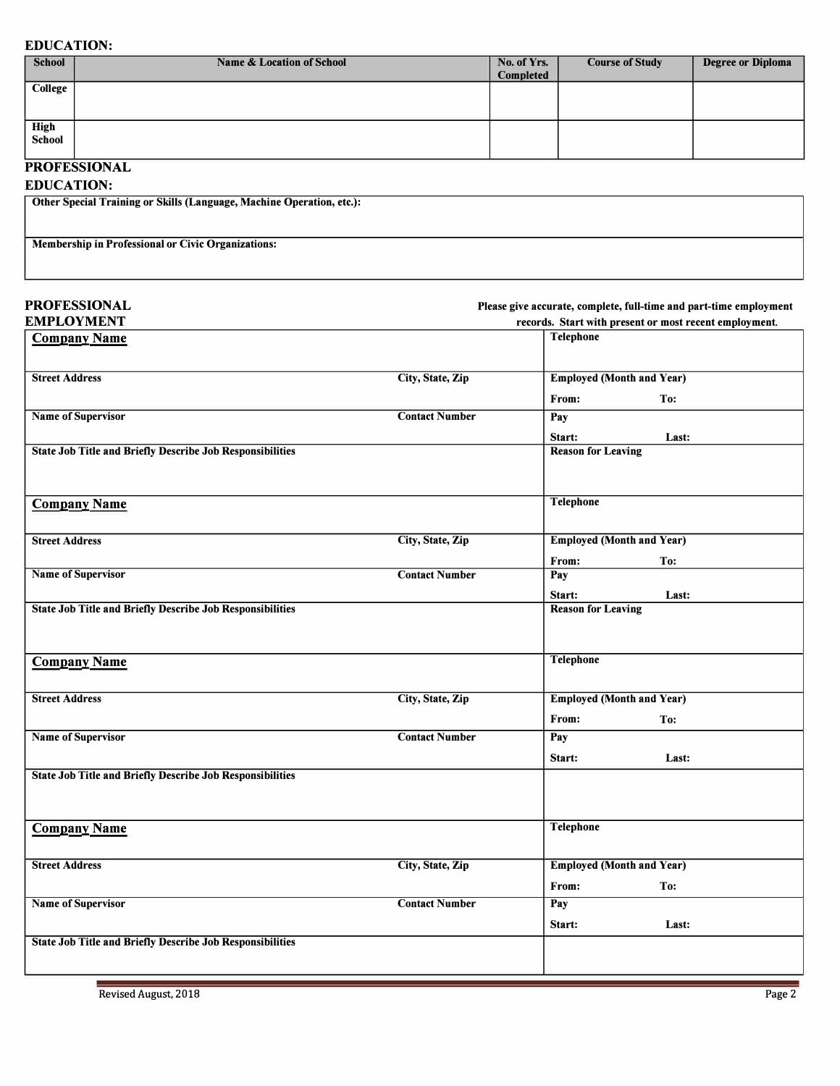#### **EDUCATION:**  EDUCATION:

| <b>School</b>          | <b>Name &amp; Location of School</b> | No. of Yrs.<br>Completed | <b>Course of Study</b> | <b>Degree or Diploma</b> |
|------------------------|--------------------------------------|--------------------------|------------------------|--------------------------|
| College                |                                      |                          |                        |                          |
| <b>High<br/>School</b> |                                      |                          |                        |                          |

#### **PROFESSIONAL**

### **EDUCATION:**

| Other Special Training or Skills (Language, Machine Operation, etc.): |  |
|-----------------------------------------------------------------------|--|
|                                                                       |  |
| <b>Membership in Professional or Civic Organizations:</b>             |  |
|                                                                       |  |

| <b>PROFESSIONAL</b>                                              |                       | Please give accurate, complete, full-time and part-time employment |
|------------------------------------------------------------------|-----------------------|--------------------------------------------------------------------|
| <b>EMPLOYMENT</b>                                                |                       | records. Start with present or most recent employment.             |
| <b>Company Name</b>                                              |                       | <b>Telephone</b>                                                   |
| <b>Street Address</b>                                            | City, State, Zip      | <b>Employed (Month and Year)</b>                                   |
|                                                                  |                       | From:<br>To:                                                       |
| <b>Name of Supervisor</b>                                        | <b>Contact Number</b> | Pay                                                                |
|                                                                  |                       | Start:<br>Last:                                                    |
| State Job Title and Briefly Describe Job Responsibilities        |                       | <b>Reason for Leaving</b>                                          |
| <b>Company Name</b>                                              |                       | <b>Telephone</b>                                                   |
| <b>Street Address</b>                                            | City, State, Zip      | <b>Employed (Month and Year)</b>                                   |
|                                                                  |                       | From:<br>To:                                                       |
| <b>Name of Supervisor</b>                                        | <b>Contact Number</b> | Pay                                                                |
|                                                                  |                       | Start:<br>Last:                                                    |
| <b>State Job Title and Briefly Describe Job Responsibilities</b> |                       | <b>Reason for Leaving</b>                                          |
| <b>Company Name</b>                                              |                       | <b>Telephone</b>                                                   |
| <b>Street Address</b>                                            | City, State, Zip      | <b>Employed (Month and Year)</b>                                   |
|                                                                  |                       | From:<br>To:                                                       |
| <b>Name of Supervisor</b>                                        | <b>Contact Number</b> | Pay                                                                |
|                                                                  |                       | Last:<br>Start:                                                    |
| <b>State Job Title and Briefly Describe Job Responsibilities</b> |                       |                                                                    |
| <b>Company Name</b>                                              |                       | <b>Telephone</b>                                                   |
| <b>Street Address</b>                                            | City, State, Zip      | <b>Employed (Month and Year)</b>                                   |
|                                                                  |                       |                                                                    |
|                                                                  |                       | From:<br>To:                                                       |
| Name of Supervisor                                               | <b>Contact Number</b> | Pay<br>Last:<br>Start:                                             |
| <b>State Job Title and Briefly Describe Job Responsibilities</b> |                       |                                                                    |
|                                                                  |                       |                                                                    |
|                                                                  |                       |                                                                    |